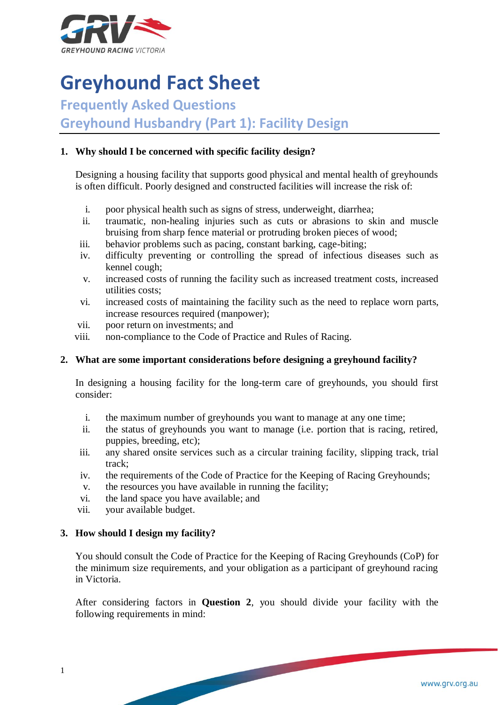

# **Greyhound Fact Sheet**

**Frequently Asked Questions**

**Greyhound Husbandry (Part 1): Facility Design**

## **1. Why should I be concerned with specific facility design?**

Designing a housing facility that supports good physical and mental health of greyhounds is often difficult. Poorly designed and constructed facilities will increase the risk of:

- i. poor physical health such as signs of stress, underweight, diarrhea;
- ii. traumatic, non-healing injuries such as cuts or abrasions to skin and muscle bruising from sharp fence material or protruding broken pieces of wood;
- iii. behavior problems such as pacing, constant barking, cage-biting;
- iv. difficulty preventing or controlling the spread of infectious diseases such as kennel cough;
- v. increased costs of running the facility such as increased treatment costs, increased utilities costs;
- vi. increased costs of maintaining the facility such as the need to replace worn parts, increase resources required (manpower);
- vii. poor return on investments; and
- viii. non-compliance to the Code of Practice and Rules of Racing.

## **2. What are some important considerations before designing a greyhound facility?**

In designing a housing facility for the long-term care of greyhounds, you should first consider:

- i. the maximum number of greyhounds you want to manage at any one time;
- ii. the status of greyhounds you want to manage (i.e. portion that is racing, retired, puppies, breeding, etc);
- iii. any shared onsite services such as a circular training facility, slipping track, trial track;
- iv. the requirements of the Code of Practice for the Keeping of Racing Greyhounds;
- v. the resources you have available in running the facility;
- vi. the land space you have available; and
- vii. your available budget.

## **3. How should I design my facility?**

You should consult the Code of Practice for the Keeping of Racing Greyhounds (CoP) for the minimum size requirements, and your obligation as a participant of greyhound racing in Victoria.

After considering factors in **Question 2**, you should divide your facility with the following requirements in mind: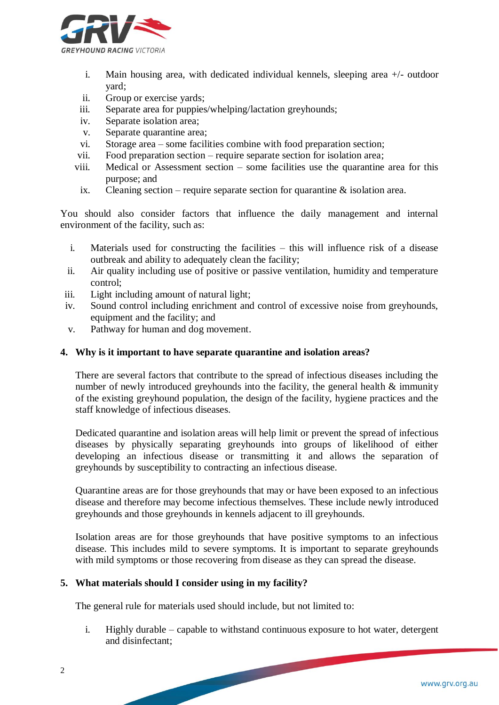

- i. Main housing area, with dedicated individual kennels, sleeping area +/- outdoor yard;
- ii. Group or exercise yards;
- iii. Separate area for puppies/whelping/lactation greyhounds;
- iv. Separate isolation area;
- v. Separate quarantine area;
- vi. Storage area some facilities combine with food preparation section;
- vii. Food preparation section require separate section for isolation area;
- viii. Medical or Assessment section some facilities use the quarantine area for this purpose; and
- ix. Cleaning section require separate section for quarantine  $\&$  isolation area.

You should also consider factors that influence the daily management and internal environment of the facility, such as:

- i. Materials used for constructing the facilities this will influence risk of a disease outbreak and ability to adequately clean the facility;
- ii. Air quality including use of positive or passive ventilation, humidity and temperature control;
- iii. Light including amount of natural light;
- iv. Sound control including enrichment and control of excessive noise from greyhounds, equipment and the facility; and
- v. Pathway for human and dog movement.

#### **4. Why is it important to have separate quarantine and isolation areas?**

There are several factors that contribute to the spread of infectious diseases including the number of newly introduced greyhounds into the facility, the general health  $\&$  immunity of the existing greyhound population, the design of the facility, hygiene practices and the staff knowledge of infectious diseases.

Dedicated quarantine and isolation areas will help limit or prevent the spread of infectious diseases by physically separating greyhounds into groups of likelihood of either developing an infectious disease or transmitting it and allows the separation of greyhounds by susceptibility to contracting an infectious disease.

Quarantine areas are for those greyhounds that may or have been exposed to an infectious disease and therefore may become infectious themselves. These include newly introduced greyhounds and those greyhounds in kennels adjacent to ill greyhounds.

Isolation areas are for those greyhounds that have positive symptoms to an infectious disease. This includes mild to severe symptoms. It is important to separate greyhounds with mild symptoms or those recovering from disease as they can spread the disease.

#### **5. What materials should I consider using in my facility?**

The general rule for materials used should include, but not limited to:

i. Highly durable – capable to withstand continuous exposure to hot water, detergent and disinfectant;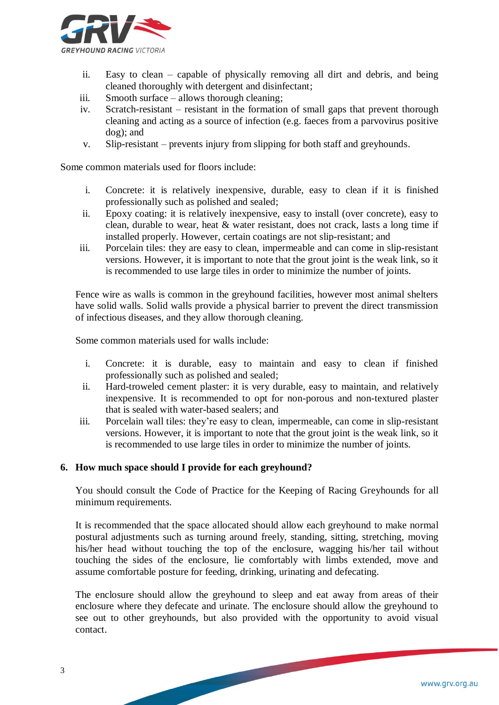

- ii. Easy to clean capable of physically removing all dirt and debris, and being cleaned thoroughly with detergent and disinfectant;
- iii. Smooth surface allows thorough cleaning;
- iv. Scratch-resistant resistant in the formation of small gaps that prevent thorough cleaning and acting as a source of infection (e.g. faeces from a parvovirus positive dog); and
- v. Slip-resistant prevents injury from slipping for both staff and greyhounds.

Some common materials used for floors include:

- i. Concrete: it is relatively inexpensive, durable, easy to clean if it is finished professionally such as polished and sealed;
- ii. Epoxy coating: it is relatively inexpensive, easy to install (over concrete), easy to clean, durable to wear, heat & water resistant, does not crack, lasts a long time if installed properly. However, certain coatings are not slip-resistant; and
- iii. Porcelain tiles: they are easy to clean, impermeable and can come in slip-resistant versions. However, it is important to note that the grout joint is the weak link, so it is recommended to use large tiles in order to minimize the number of joints.

Fence wire as walls is common in the greyhound facilities, however most animal shelters have solid walls. Solid walls provide a physical barrier to prevent the direct transmission of infectious diseases, and they allow thorough cleaning.

Some common materials used for walls include:

- i. Concrete: it is durable, easy to maintain and easy to clean if finished professionally such as polished and sealed;
- ii. Hard-troweled cement plaster: it is very durable, easy to maintain, and relatively inexpensive. It is recommended to opt for non-porous and non-textured plaster that is sealed with water-based sealers; and
- iii. Porcelain wall tiles: they're easy to clean, impermeable, can come in slip-resistant versions. However, it is important to note that the grout joint is the weak link, so it is recommended to use large tiles in order to minimize the number of joints.

#### **6. How much space should I provide for each greyhound?**

You should consult the Code of Practice for the Keeping of Racing Greyhounds for all minimum requirements.

It is recommended that the space allocated should allow each greyhound to make normal postural adjustments such as turning around freely, standing, sitting, stretching, moving his/her head without touching the top of the enclosure, wagging his/her tail without touching the sides of the enclosure, lie comfortably with limbs extended, move and assume comfortable posture for feeding, drinking, urinating and defecating.

The enclosure should allow the greyhound to sleep and eat away from areas of their enclosure where they defecate and urinate. The enclosure should allow the greyhound to see out to other greyhounds, but also provided with the opportunity to avoid visual contact.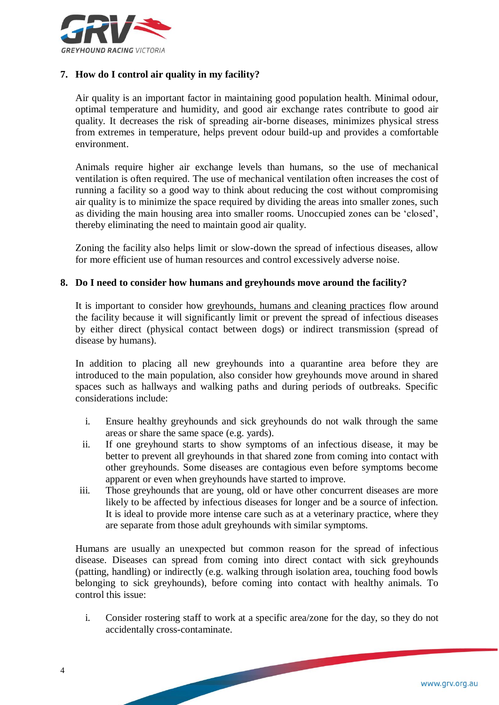

## **7. How do I control air quality in my facility?**

Air quality is an important factor in maintaining good population health. Minimal odour, optimal temperature and humidity, and good air exchange rates contribute to good air quality. It decreases the risk of spreading air-borne diseases, minimizes physical stress from extremes in temperature, helps prevent odour build-up and provides a comfortable environment.

Animals require higher air exchange levels than humans, so the use of mechanical ventilation is often required. The use of mechanical ventilation often increases the cost of running a facility so a good way to think about reducing the cost without compromising air quality is to minimize the space required by dividing the areas into smaller zones, such as dividing the main housing area into smaller rooms. Unoccupied zones can be 'closed', thereby eliminating the need to maintain good air quality.

Zoning the facility also helps limit or slow-down the spread of infectious diseases, allow for more efficient use of human resources and control excessively adverse noise.

#### **8. Do I need to consider how humans and greyhounds move around the facility?**

It is important to consider how greyhounds, humans and cleaning practices flow around the facility because it will significantly limit or prevent the spread of infectious diseases by either direct (physical contact between dogs) or indirect transmission (spread of disease by humans).

In addition to placing all new greyhounds into a quarantine area before they are introduced to the main population, also consider how greyhounds move around in shared spaces such as hallways and walking paths and during periods of outbreaks. Specific considerations include:

- i. Ensure healthy greyhounds and sick greyhounds do not walk through the same areas or share the same space (e.g. yards).
- ii. If one greyhound starts to show symptoms of an infectious disease, it may be better to prevent all greyhounds in that shared zone from coming into contact with other greyhounds. Some diseases are contagious even before symptoms become apparent or even when greyhounds have started to improve.
- iii. Those greyhounds that are young, old or have other concurrent diseases are more likely to be affected by infectious diseases for longer and be a source of infection. It is ideal to provide more intense care such as at a veterinary practice, where they are separate from those adult greyhounds with similar symptoms.

Humans are usually an unexpected but common reason for the spread of infectious disease. Diseases can spread from coming into direct contact with sick greyhounds (patting, handling) or indirectly (e.g. walking through isolation area, touching food bowls belonging to sick greyhounds), before coming into contact with healthy animals. To control this issue:

i. Consider rostering staff to work at a specific area/zone for the day, so they do not accidentally cross-contaminate.